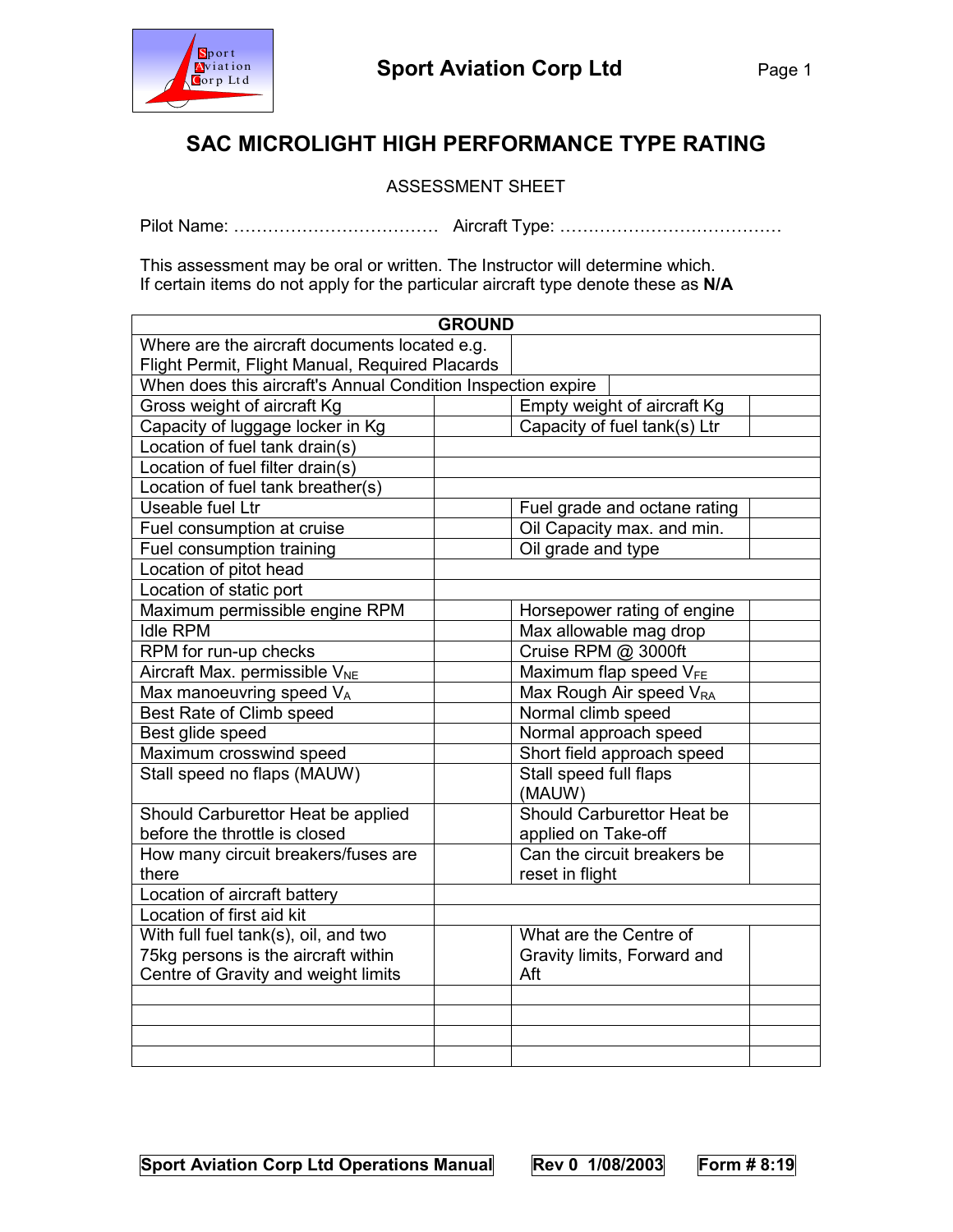

## SAC MICROLIGHT HIGH PERFORMANCE TYPE RATING

ASSESSMENT SHEET

Pilot Name: ……………………………… Aircraft Type: …………………………………

This assessment may be oral or written. The Instructor will determine which. If certain items do not apply for the particular aircraft type denote these as N/A

| <b>GROUND</b>                                                |                                     |  |  |  |
|--------------------------------------------------------------|-------------------------------------|--|--|--|
| Where are the aircraft documents located e.g.                |                                     |  |  |  |
| Flight Permit, Flight Manual, Required Placards              |                                     |  |  |  |
| When does this aircraft's Annual Condition Inspection expire |                                     |  |  |  |
| Gross weight of aircraft Kg                                  | Empty weight of aircraft Kg         |  |  |  |
| Capacity of luggage locker in Kg                             | Capacity of fuel tank(s) Ltr        |  |  |  |
| Location of fuel tank drain(s)                               |                                     |  |  |  |
| Location of fuel filter drain(s)                             |                                     |  |  |  |
| Location of fuel tank breather(s)                            |                                     |  |  |  |
| Useable fuel Ltr                                             | Fuel grade and octane rating        |  |  |  |
| Fuel consumption at cruise                                   | Oil Capacity max. and min.          |  |  |  |
| Fuel consumption training                                    | Oil grade and type                  |  |  |  |
| Location of pitot head                                       |                                     |  |  |  |
| Location of static port                                      |                                     |  |  |  |
| Maximum permissible engine RPM                               | Horsepower rating of engine         |  |  |  |
| <b>Idle RPM</b>                                              | Max allowable mag drop              |  |  |  |
| RPM for run-up checks                                        | Cruise RPM @ 3000ft                 |  |  |  |
| Aircraft Max. permissible V <sub>NE</sub>                    | Maximum flap speed $V_{FE}$         |  |  |  |
| Max manoeuvring speed VA                                     | Max Rough Air speed V <sub>RA</sub> |  |  |  |
| Best Rate of Climb speed                                     | Normal climb speed                  |  |  |  |
| Best glide speed                                             | Normal approach speed               |  |  |  |
| Maximum crosswind speed                                      | Short field approach speed          |  |  |  |
| Stall speed no flaps (MAUW)                                  | Stall speed full flaps              |  |  |  |
|                                                              | (MAUW)                              |  |  |  |
| Should Carburettor Heat be applied                           | Should Carburettor Heat be          |  |  |  |
| before the throttle is closed                                | applied on Take-off                 |  |  |  |
| How many circuit breakers/fuses are                          | Can the circuit breakers be         |  |  |  |
| there                                                        | reset in flight                     |  |  |  |
| Location of aircraft battery                                 |                                     |  |  |  |
| Location of first aid kit                                    |                                     |  |  |  |
| With full fuel tank(s), oil, and two                         | What are the Centre of              |  |  |  |
| 75kg persons is the aircraft within                          | Gravity limits, Forward and         |  |  |  |
| Centre of Gravity and weight limits                          | Aft                                 |  |  |  |
|                                                              |                                     |  |  |  |
|                                                              |                                     |  |  |  |
|                                                              |                                     |  |  |  |
|                                                              |                                     |  |  |  |

Sport Aviation Corp Ltd Operations Manual Rev 0 1/08/2003 Form # 8:19